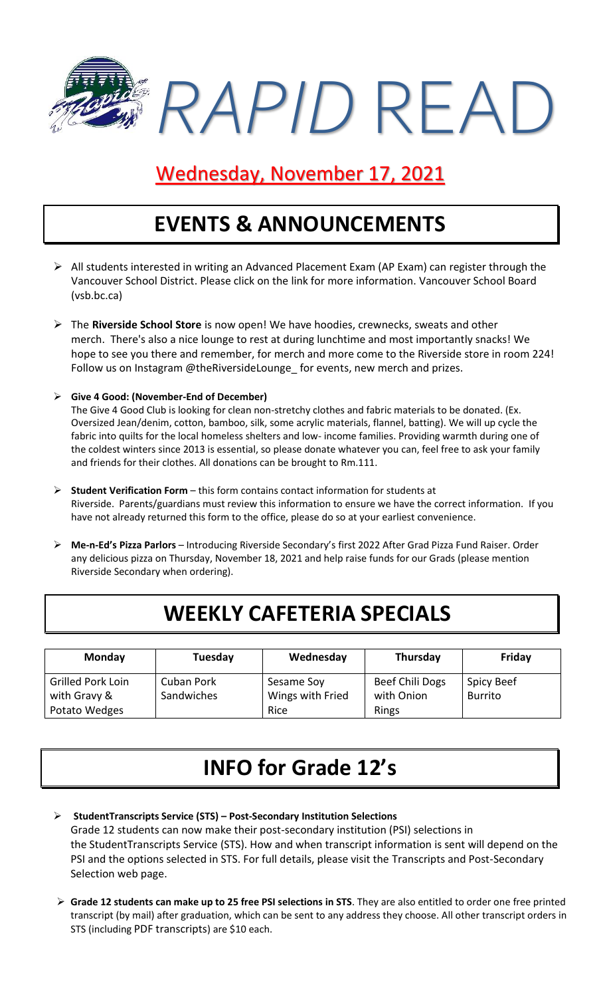

# Wednesday, November 17, 2021

# **EVENTS & ANNOUNCEMENTS**

- ➢ All students interested in writing an Advanced Placement Exam (AP Exam) can register through the Vancouver School District. Please click on the link for more information. [Vancouver School Board](https://www.vsb.bc.ca/Student_Learning/Secondary/Advanced_Placement_Exams/Pages/Default.aspx)  [\(vsb.bc.ca\)](https://www.vsb.bc.ca/Student_Learning/Secondary/Advanced_Placement_Exams/Pages/Default.aspx)
- ➢ The **Riverside School Store** is now open! We have hoodies, crewnecks, sweats and other merch. There's also a nice lounge to rest at during lunchtime and most importantly snacks! We hope to see you there and remember, for merch and more come to the Riverside store in room 224! Follow us on Instagram @theRiversideLounge\_for events, new merch and prizes.
- ➢ **Give 4 Good: (November-End of December)**

The Give 4 Good Club is looking for clean non-stretchy clothes and fabric materials to be donated. (Ex. Oversized Jean/denim, cotton, bamboo, silk, some acrylic materials, flannel, batting). We will up cycle the fabric into quilts for the local homeless shelters and low- income families. Providing warmth during one of the coldest winters since 2013 is essential, so please donate whatever you can, feel free to ask your family and friends for their clothes. All donations can be brought to Rm.111.

- ➢ **Student Verification Form** this form contains contact information for students at Riverside. Parents/guardians must review this information to ensure we have the correct information. If you have not already returned this form to the office, please do so at your earliest convenience.
- ➢ **Me-n-Ed's Pizza Parlors**  Introducing Riverside Secondary's first 2022 After Grad Pizza Fund Raiser. Order any delicious pizza on Thursday, November 18, 2021 and help raise funds for our Grads (please mention Riverside Secondary when ordering).

## **WEEKLY CAFETERIA SPECIALS**

| Monday                                                    | Tuesday                  | Wednesday                              | Thursday                               | Friday                              |
|-----------------------------------------------------------|--------------------------|----------------------------------------|----------------------------------------|-------------------------------------|
| <b>Grilled Pork Loin</b><br>with Gravy &<br>Potato Wedges | Cuban Pork<br>Sandwiches | Sesame Soy<br>Wings with Fried<br>Rice | Beef Chili Dogs<br>with Onion<br>Rings | <b>Spicy Beef</b><br><b>Burrito</b> |

# **INFO for Grade 12's**

- ➢ **StudentTranscripts Service (STS) – Post-Secondary Institution Selections** Grade 12 students can now make their post-secondary institution (PSI) selections in the [StudentTranscripts Service](https://www2.gov.bc.ca/gov/content/education-training/k-12/support/transcripts-and-certificates) (STS). How and when transcript information is sent will depend on the PSI and the options selected in STS. For full details, please visit the [Transcripts and Post-Secondary](https://www2.gov.bc.ca/gov/content/education-training/k-12/support/transcripts-and-certificates/post-secondary-selection)  [Selection](https://www2.gov.bc.ca/gov/content/education-training/k-12/support/transcripts-and-certificates/post-secondary-selection) web page.
- ➢ **Grade 12 students can make up to 25 free PSI selections in STS**. They are also entitled to order one free printed transcript (by mail) after graduation, which can be sent to any address they choose. All other transcript orders in STS (including [PDF transcripts](https://www2.gov.bc.ca/gov/content/education-training/k-12/support/transcripts-and-certificates/electronic-transcripts)) are \$10 each.